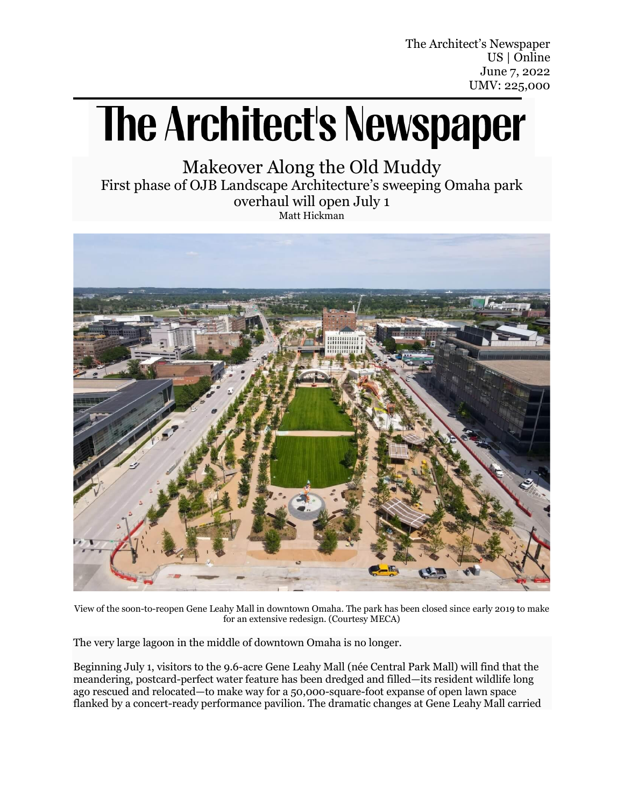The Architect's Newspaper US | Online June 7, 2022 UMV: 225,000

## **The Architect's Newspaper**

Makeover Along the Old Muddy First phase of OJB Landscape Architecture's sweeping Omaha park overhaul will open July 1 Matt Hickman



View of the soon-to-reopen Gene Leahy Mall in downtown Omaha. The park has been closed since early 2019 to make for an extensive redesign. (Courtesy MECA)

The very large lagoon in the middle of downtown [Omaha](https://www.archpaper.com/tag/omaha/) is no longer.

Beginning July 1, visitors to the 9.6-acre [Gene Leahy Mall](https://theriverfrontomaha.com/visit-the-riverfront/gene-leahy-mall/) (née Central Park Mall) will find that the meandering, [postcard-perfect](https://www.ebay.com/itm/265594259292?chn=ps&_trkparms=ispr%3D1&amdata=enc%3A1CVhdVbJpQFC7ZnLLk9hnNw84&norover=1&mkevt=1&mkrid=711-117182-37290-0&mkcid=2&itemid=265594259292&targetid=1599090336417&device=c&mktype=&googleloc=9067609&poi=&campaignid=15275224983&mkgroupid=131097072938&rlsatarget=pla-1599090336417&abcId=9300697&merchantid=108817101&gclid=CjwKCAjw7vuUBhBUEiwAEdu2pG-l4C4qWvNZnj0rB6fW8lvq110KbbuFo-uE9MebjOTtV5-M-StgERoC3_QQAvD_BwE) water feature has been [dredged and filled](https://omaha.com/news/local/the-water-in-omahas-gene-leahy-mall-is-nearly-gone-heres-where-it-went-and/article_05df402f-8c3f-5e01-b76f-f40399c4d8fd.html)—its resident wildlife long ago [rescued and relocated](https://www.3newsnow.com/news/local-news/city-of-omaha-looks-to-rescue-animals-from-gene-leahy-mall-construction-site)—to make way for a 50,000-square-foot expanse of open lawn space flanked by a concert-ready performance pavilion. The dramatic changes at Gene Leahy Mall carried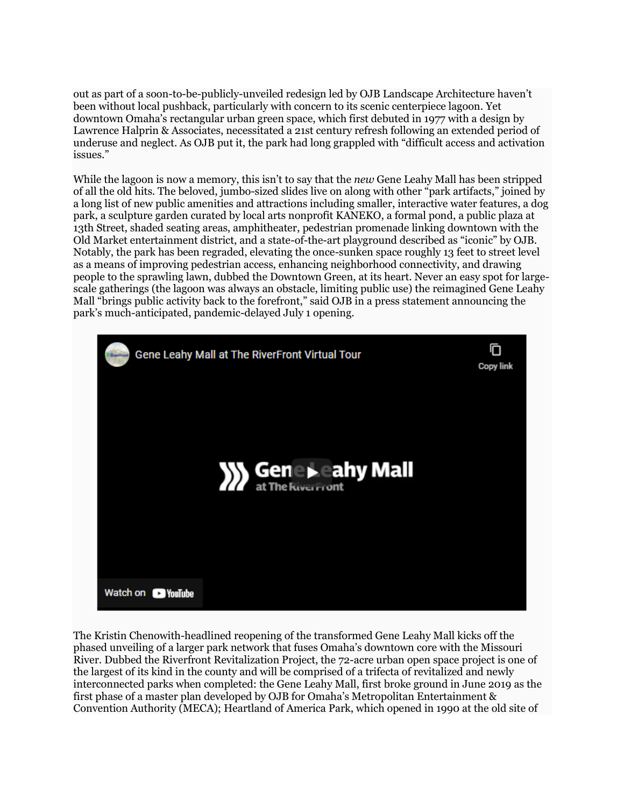out as part of a soon-to-be-publicly-unveiled redesign led by [OJB Landscape Architecture](https://www.ojb.com/) haven't been without [local pushback,](https://omaha.com/opinion/article_c6591d7c-aa3e-5256-a602-b18e08d6d3b3.html) particularly with concern to its scenic centerpiece lagoon. Yet downtown Omaha's [rectangular urban green space,](https://www.omahamagazine.com/2018/06/24/301862/goodbye-gene-leahy-mall) which first debuted in 1977 with a [design by](https://www.tclf.org/landscapes/gene-leahy-mall)  [Lawrence Halprin & Associates,](https://www.tclf.org/landscapes/gene-leahy-mall) necessitated a 21st century refresh following an extended period of underuse and neglect. As OJB put it, the [park](https://www.archpaper.com/tag/parks/) had long grappled with "difficult access and activation issues."

While the lagoon is now a memory, this isn't to say that the *new* [Gene Leahy Mall](https://www.ojb.com/work/the-riverfront/) has been stripped of all the old hits. The beloved, jumbo-sized slides live on along with other "park artifacts," joined by a long list of new public amenities and attractions including smaller, interactive water features, a dog park, a sculpture garden curated by local arts nonprofit [KANEKO,](https://thekaneko.org/) a formal pond, a public plaza at 13th Street, shaded seating areas, amphitheater, pedestrian promenade linking downtown with the Old Market entertainment district, and a state-of-the-art playground described as "iconic" by OJB. Notably, the park has been regraded, elevating the once-sunken space roughly 13 feet to street level as a means of improving pedestrian access, enhancing neighborhood connectivity, and drawing people to the sprawling lawn, dubbed the Downtown Green, at its heart. Never an easy spot for largescale gatherings (the lagoon was always an obstacle, limiting public use) the reimagined Gene Leahy Mall "brings public activity back to the forefront," said OJB in a press statement announcing the park's much-anticipated, [pandemic-delayed](https://omaha.com/news/local/reopening-of-gene-leahy-mall-delayed-due-to-supply-chain-backlogs/article_9354f53e-82af-11ec-910f-579f0253d87a.html) July 1 opening.



The [Kristin Chenowith-headlined](https://omaha.com/news/local/kristin-chenoweth-to-headline-gene-leahy-malls-opening-concert/article_a8a31760-dc44-11ec-a44f-23748ccbad43.html) reopening of the transformed Gene Leahy Mall kicks off the phased unveiling of a larger park network that fuses Omaha's downtown core with the Missouri River. Dubbed the Riverfront Revitalization Project, the 72-acre urban open space project is one of the largest of its kind in the county and will be comprised of a trifecta of revitalized and newly interconnected parks when completed: the Gene Leahy Mall, first broke [ground in June 2019](http://www.omahameca.com/meca-riverfront-groundbreaking/) as the first phase of a master plan developed by OJB for Omaha's Metropolitan Entertainment & Convention Authority [\(MECA\)](http://www.omahameca.com/); [Heartland of America Park,](https://theriverfrontomaha.com/visit-the-riverfront/heartland-of-america-park/) which opened in 1990 at the old site of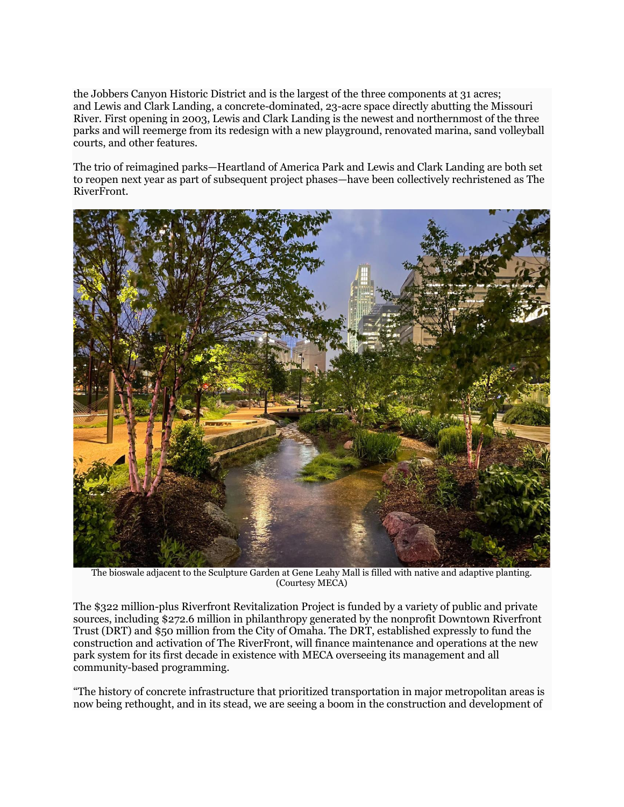the [Jobbers Canyon Historic District](https://omaha.com/archives/30-years-ago-this-month-jobbers-canyon-was-demolished-to-make-way-for-conagra/article_6d412bc7-d1c8-59ac-906f-ea4a2a44bf1a.html) and is the largest of the three components at 31 acres; and [Lewis and Clark Landing,](https://theriverfrontomaha.com/visit-the-riverfront/lewis-and-clark-landing/) a concrete-dominated, 23-acre space directly abutting the Missouri River. First opening in 2003, Lewis and Clark Landing is the newest and northernmost of the three parks and will reemerge from its redesign with a new playground, renovated marina, sand volleyball courts, and other features.

The trio of reimagined parks—Heartland of America Park and Lewis and Clark Landing are both set to reopen next year as part of subsequent project phases—have been collectively rechristened as [The](https://theriverfrontomaha.com/)  [RiverFront.](https://theriverfrontomaha.com/)



The bioswale adjacent to the Sculpture Garden at Gene Leahy Mall is filled with native and adaptive planting. (Courtesy MECA)

The \$322 million-plus Riverfront Revitalization Project is funded by a variety of public and private sources, including \$272.6 million in philanthropy generated by the nonprofit Downtown Riverfront Trust (DRT) and \$50 million from the City of Omaha. The DRT, established expressly to fund the construction and activation of The RiverFront, will finance maintenance and operations at the new park system for its first decade in existence with [MECA overseeing its management](https://mayors-office.cityofomaha.org/city-news/368-meca-to-manage-riverfront-parks-development) and all community-based programming.

"The history of concrete infrastructure that prioritized transportation in major metropolitan areas is now being rethought, and in its stead, we are seeing a boom in the construction and development of